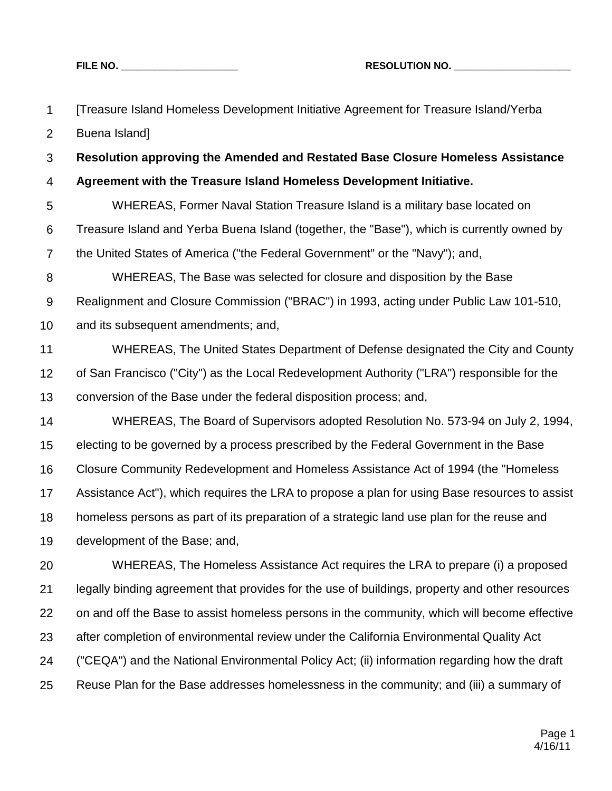| $\mathbf 1$      | [Treasure Island Homeless Development Initiative Agreement for Treasure Island/Yerba           |
|------------------|------------------------------------------------------------------------------------------------|
| $\overline{2}$   | Buena Island]                                                                                  |
| $\mathfrak{S}$   | Resolution approving the Amended and Restated Base Closure Homeless Assistance                 |
| 4                | Agreement with the Treasure Island Homeless Development Initiative.                            |
| 5                | WHEREAS, Former Naval Station Treasure Island is a military base located on                    |
| 6                | Treasure Island and Yerba Buena Island (together, the "Base"), which is currently owned by     |
| $\overline{7}$   | the United States of America ("the Federal Government" or the "Navy"); and,                    |
| $\bf 8$          | WHEREAS, The Base was selected for closure and disposition by the Base                         |
| $\boldsymbol{9}$ | Realignment and Closure Commission ("BRAC") in 1993, acting under Public Law 101-510,          |
| 10               | and its subsequent amendments; and,                                                            |
| 11               | WHEREAS, The United States Department of Defense designated the City and County                |
| 12               | of San Francisco ("City") as the Local Redevelopment Authority ("LRA") responsible for the     |
| 13               | conversion of the Base under the federal disposition process; and,                             |
| 14               | WHEREAS, The Board of Supervisors adopted Resolution No. 573-94 on July 2, 1994,               |
| 15               | electing to be governed by a process prescribed by the Federal Government in the Base          |
| 16               | Closure Community Redevelopment and Homeless Assistance Act of 1994 (the "Homeless"            |
| 17               | Assistance Act"), which requires the LRA to propose a plan for using Base resources to assist  |
| 18               | homeless persons as part of its preparation of a strategic land use plan for the reuse and     |
| 19               | development of the Base; and,                                                                  |
| 20               | WHEREAS, The Homeless Assistance Act requires the LRA to prepare (i) a proposed                |
| 21               | legally binding agreement that provides for the use of buildings, property and other resources |
| 22               | on and off the Base to assist homeless persons in the community, which will become effective   |
| 23               | after completion of environmental review under the California Environmental Quality Act        |
| 24               | ("CEQA") and the National Environmental Policy Act; (ii) information regarding how the draft   |
| 25               | Reuse Plan for the Base addresses homelessness in the community; and (iii) a summary of        |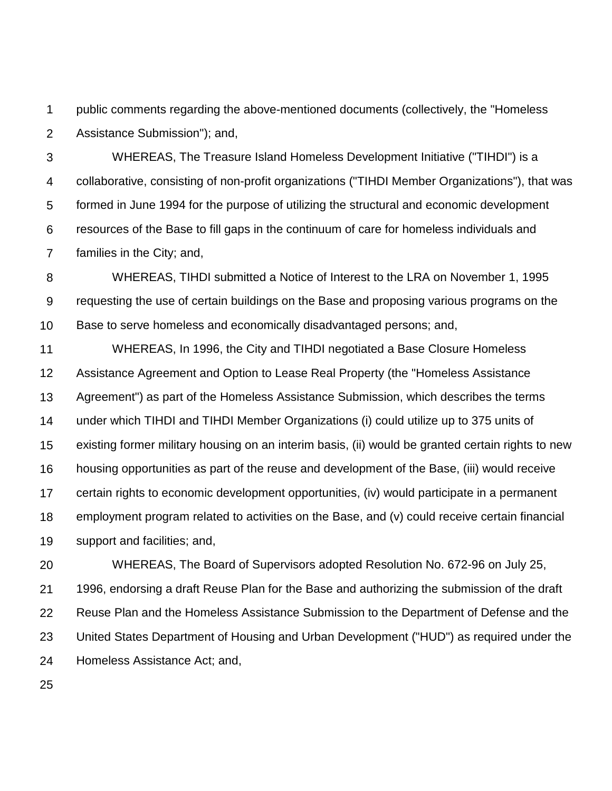1 2 public comments regarding the above-mentioned documents (collectively, the "Homeless Assistance Submission"); and,

3 4 5 6 7 WHEREAS, The Treasure Island Homeless Development Initiative ("TIHDI") is a collaborative, consisting of non-profit organizations ("TIHDI Member Organizations"), that was formed in June 1994 for the purpose of utilizing the structural and economic development resources of the Base to fill gaps in the continuum of care for homeless individuals and families in the City; and,

8 9 10 WHEREAS, TIHDI submitted a Notice of Interest to the LRA on November 1, 1995 requesting the use of certain buildings on the Base and proposing various programs on the Base to serve homeless and economically disadvantaged persons; and,

11 12 13 14 15 16 17 18 19 WHEREAS, In 1996, the City and TIHDI negotiated a Base Closure Homeless Assistance Agreement and Option to Lease Real Property (the "Homeless Assistance Agreement") as part of the Homeless Assistance Submission, which describes the terms under which TIHDI and TIHDI Member Organizations (i) could utilize up to 375 units of existing former military housing on an interim basis, (ii) would be granted certain rights to new housing opportunities as part of the reuse and development of the Base, (iii) would receive certain rights to economic development opportunities, (iv) would participate in a permanent employment program related to activities on the Base, and (v) could receive certain financial support and facilities; and,

20 21 22 23 24 WHEREAS, The Board of Supervisors adopted Resolution No. 672-96 on July 25, 1996, endorsing a draft Reuse Plan for the Base and authorizing the submission of the draft Reuse Plan and the Homeless Assistance Submission to the Department of Defense and the United States Department of Housing and Urban Development ("HUD") as required under the Homeless Assistance Act; and,

25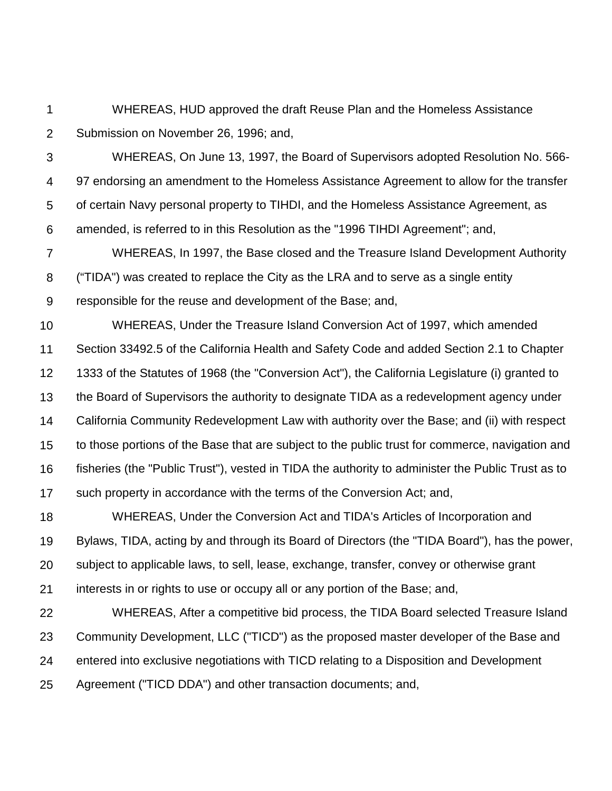1 2 WHEREAS, HUD approved the draft Reuse Plan and the Homeless Assistance Submission on November 26, 1996; and,

3 4 5 6 WHEREAS, On June 13, 1997, the Board of Supervisors adopted Resolution No. 566- 97 endorsing an amendment to the Homeless Assistance Agreement to allow for the transfer of certain Navy personal property to TIHDI, and the Homeless Assistance Agreement, as amended, is referred to in this Resolution as the "1996 TIHDI Agreement"; and,

7 8 9 WHEREAS, In 1997, the Base closed and the Treasure Island Development Authority ("TIDA") was created to replace the City as the LRA and to serve as a single entity responsible for the reuse and development of the Base; and,

10 11 12 13 14 15 16 17 WHEREAS, Under the Treasure Island Conversion Act of 1997, which amended Section 33492.5 of the California Health and Safety Code and added Section 2.1 to Chapter 1333 of the Statutes of 1968 (the "Conversion Act"), the California Legislature (i) granted to the Board of Supervisors the authority to designate TIDA as a redevelopment agency under California Community Redevelopment Law with authority over the Base; and (ii) with respect to those portions of the Base that are subject to the public trust for commerce, navigation and fisheries (the "Public Trust"), vested in TIDA the authority to administer the Public Trust as to such property in accordance with the terms of the Conversion Act; and,

18 19 20 21 WHEREAS, Under the Conversion Act and TIDA's Articles of Incorporation and Bylaws, TIDA, acting by and through its Board of Directors (the "TIDA Board"), has the power, subject to applicable laws, to sell, lease, exchange, transfer, convey or otherwise grant interests in or rights to use or occupy all or any portion of the Base; and,

22 23 24 25 WHEREAS, After a competitive bid process, the TIDA Board selected Treasure Island Community Development, LLC ("TICD") as the proposed master developer of the Base and entered into exclusive negotiations with TICD relating to a Disposition and Development Agreement ("TICD DDA") and other transaction documents; and,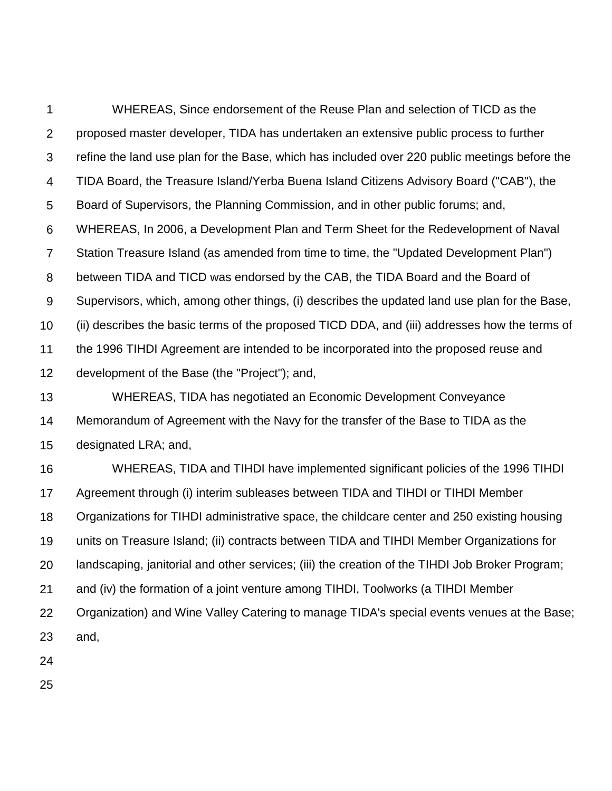1 2 3 4 5 6 7 8 9 10 11 12 13 14 15 WHEREAS, Since endorsement of the Reuse Plan and selection of TICD as the proposed master developer, TIDA has undertaken an extensive public process to further refine the land use plan for the Base, which has included over 220 public meetings before the TIDA Board, the Treasure Island/Yerba Buena Island Citizens Advisory Board ("CAB"), the Board of Supervisors, the Planning Commission, and in other public forums; and, WHEREAS, In 2006, a Development Plan and Term Sheet for the Redevelopment of Naval Station Treasure Island (as amended from time to time, the "Updated Development Plan") between TIDA and TICD was endorsed by the CAB, the TIDA Board and the Board of Supervisors, which, among other things, (i) describes the updated land use plan for the Base, (ii) describes the basic terms of the proposed TICD DDA, and (iii) addresses how the terms of the 1996 TIHDI Agreement are intended to be incorporated into the proposed reuse and development of the Base (the "Project"); and, WHEREAS, TIDA has negotiated an Economic Development Conveyance Memorandum of Agreement with the Navy for the transfer of the Base to TIDA as the designated LRA; and,

16 17 18 19 20 21 22 23 WHEREAS, TIDA and TIHDI have implemented significant policies of the 1996 TIHDI Agreement through (i) interim subleases between TIDA and TIHDI or TIHDI Member Organizations for TIHDI administrative space, the childcare center and 250 existing housing units on Treasure Island; (ii) contracts between TIDA and TIHDI Member Organizations for landscaping, janitorial and other services; (iii) the creation of the TIHDI Job Broker Program; and (iv) the formation of a joint venture among TIHDI, Toolworks (a TIHDI Member Organization) and Wine Valley Catering to manage TIDA's special events venues at the Base; and,

24

25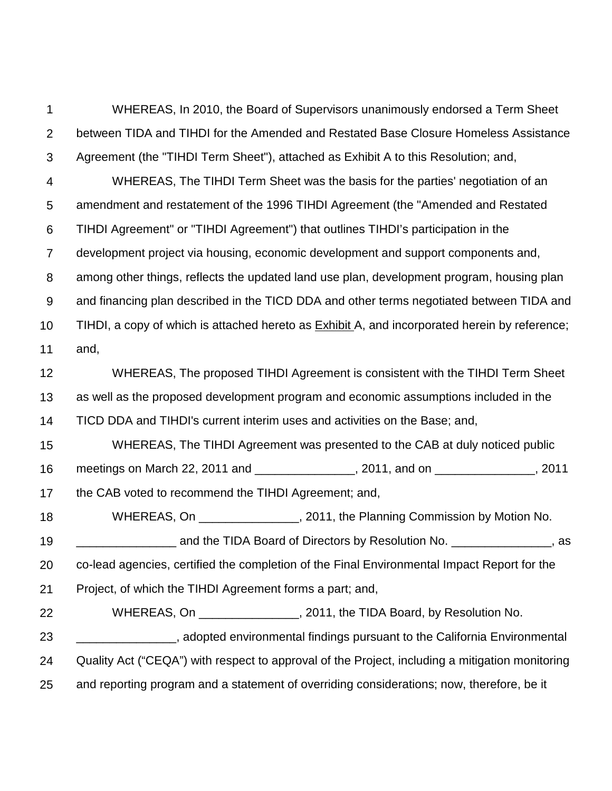1 2 3 4 5 6 7 8 9 10 11 12 13 14 15 16 17 18 19 20 21 22 23 24 25 WHEREAS, In 2010, the Board of Supervisors unanimously endorsed a Term Sheet between TIDA and TIHDI for the Amended and Restated Base Closure Homeless Assistance Agreement (the "TIHDI Term Sheet"), attached as Exhibit A to this Resolution; and, WHEREAS, The TIHDI Term Sheet was the basis for the parties' negotiation of an amendment and restatement of the 1996 TIHDI Agreement (the "Amended and Restated TIHDI Agreement" or "TIHDI Agreement") that outlines TIHDI's participation in the development project via housing, economic development and support components and, among other things, reflects the updated land use plan, development program, housing plan and financing plan described in the TICD DDA and other terms negotiated between TIDA and TIHDI, a copy of which is attached hereto as Exhibit A, and incorporated herein by reference; and, WHEREAS, The proposed TIHDI Agreement is consistent with the TIHDI Term Sheet as well as the proposed development program and economic assumptions included in the TICD DDA and TIHDI's current interim uses and activities on the Base; and, WHEREAS, The TIHDI Agreement was presented to the CAB at duly noticed public meetings on March 22, 2011 and \_\_\_\_\_\_\_\_\_\_\_\_\_\_\_\_, 2011, and on \_\_\_\_\_\_\_\_\_\_\_\_\_\_\_\_, 2011 the CAB voted to recommend the TIHDI Agreement; and, WHEREAS, On  $\mu$ , 2011, the Planning Commission by Motion No. \_\_\_\_\_\_\_\_\_\_\_\_\_\_\_ and the TIDA Board of Directors by Resolution No. \_\_\_\_\_\_\_\_\_\_\_\_\_\_\_, as co-lead agencies, certified the completion of the Final Environmental Impact Report for the Project, of which the TIHDI Agreement forms a part; and, WHEREAS, On \_\_\_\_\_\_\_\_\_\_\_\_\_\_, 2011, the TIDA Board, by Resolution No. \_\_\_\_\_\_\_\_\_\_\_\_\_\_\_, adopted environmental findings pursuant to the California Environmental Quality Act ("CEQA") with respect to approval of the Project, including a mitigation monitoring and reporting program and a statement of overriding considerations; now, therefore, be it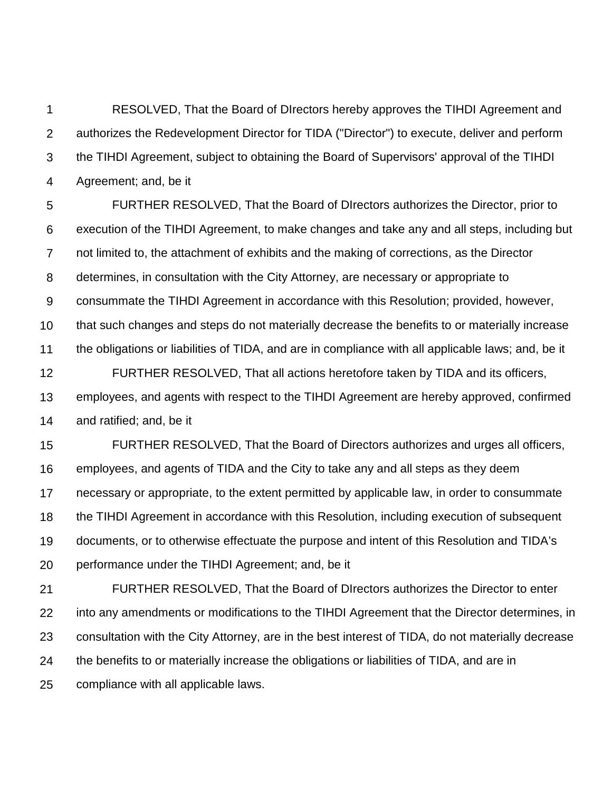1 2 3 4 RESOLVED, That the Board of DIrectors hereby approves the TIHDI Agreement and authorizes the Redevelopment Director for TIDA ("Director") to execute, deliver and perform the TIHDI Agreement, subject to obtaining the Board of Supervisors' approval of the TIHDI Agreement; and, be it

5 6 7 8 9 10 11 12 13 14 FURTHER RESOLVED, That the Board of DIrectors authorizes the Director, prior to execution of the TIHDI Agreement, to make changes and take any and all steps, including but not limited to, the attachment of exhibits and the making of corrections, as the Director determines, in consultation with the City Attorney, are necessary or appropriate to consummate the TIHDI Agreement in accordance with this Resolution; provided, however, that such changes and steps do not materially decrease the benefits to or materially increase the obligations or liabilities of TIDA, and are in compliance with all applicable laws; and, be it FURTHER RESOLVED, That all actions heretofore taken by TIDA and its officers, employees, and agents with respect to the TIHDI Agreement are hereby approved, confirmed and ratified; and, be it

15 16 17 18 19 20 FURTHER RESOLVED, That the Board of Directors authorizes and urges all officers, employees, and agents of TIDA and the City to take any and all steps as they deem necessary or appropriate, to the extent permitted by applicable law, in order to consummate the TIHDI Agreement in accordance with this Resolution, including execution of subsequent documents, or to otherwise effectuate the purpose and intent of this Resolution and TIDA's performance under the TIHDI Agreement; and, be it

21 22 23 24 25 FURTHER RESOLVED, That the Board of DIrectors authorizes the Director to enter into any amendments or modifications to the TIHDI Agreement that the Director determines, in consultation with the City Attorney, are in the best interest of TIDA, do not materially decrease the benefits to or materially increase the obligations or liabilities of TIDA, and are in compliance with all applicable laws.